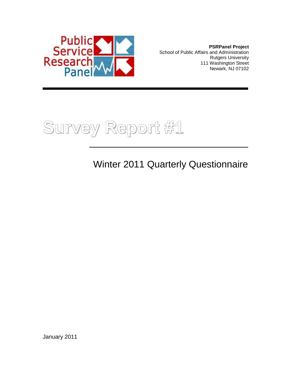

**PSRPanel Project** School of Public Affairs and Administration Rutgers University 111 Washington Street Newark, NJ 07102



Winter 2011 Quarterly Questionnaire

January 2011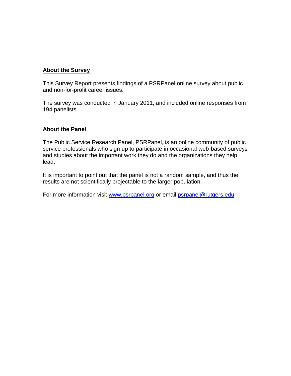## **About the Survey**

This Survey Report presents findings of a PSRPanel online survey about public and non-for-profit career issues.

The survey was conducted in January 2011, and included online responses from 194 panelists.

## **About the Panel**

The Public Service Research Panel, PSRPanel, is an online community of public service professionals who sign up to participate in occasional web-based surveys and studies about the important work they do and the organizations they help lead.

It is important to point out that the panel is not a random sample, and thus the results are not scientifically projectable to the larger population.

For more information visit [www.psrpanel.org](http://www.psrpanel.org/) or email [psrpanel@rutgers.edu](mailto:psrpanel@rutgers.edu)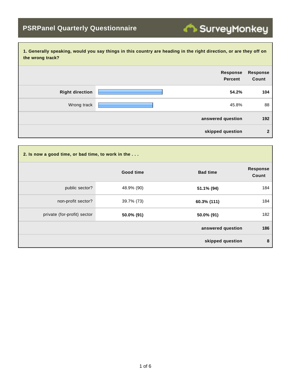| 1. Generally speaking, would you say things in this country are heading in the right direction, or are they off on<br>the wrong track? |                                   |                          |  |
|----------------------------------------------------------------------------------------------------------------------------------------|-----------------------------------|--------------------------|--|
|                                                                                                                                        | <b>Response</b><br><b>Percent</b> | <b>Response</b><br>Count |  |
| <b>Right direction</b>                                                                                                                 | 54.2%                             | 104                      |  |
| Wrong track                                                                                                                            | 45.8%                             | 88                       |  |
|                                                                                                                                        | answered question                 | 192                      |  |
|                                                                                                                                        | skipped question                  | $\overline{2}$           |  |

| 2. Is now a good time, or bad time, to work in the |            |                   |                          |
|----------------------------------------------------|------------|-------------------|--------------------------|
|                                                    | Good time  | <b>Bad time</b>   | <b>Response</b><br>Count |
| public sector?                                     | 48.9% (90) | 51.1% (94)        | 184                      |
| non-profit sector?                                 | 39.7% (73) | 60.3% (111)       | 184                      |
| private (for-profit) sector                        | 50.0% (91) | 50.0% (91)        | 182                      |
|                                                    |            | answered question | 186                      |
|                                                    |            | skipped question  | 8                        |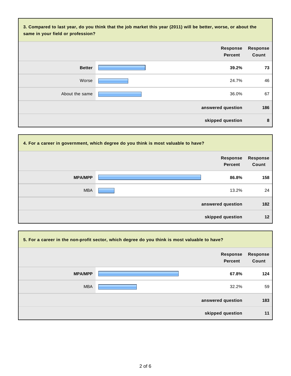| 3. Compared to last year, do you think that the job market this year (2011) will be better, worse, or about the<br>same in your field or profession? |                                   |                          |  |
|------------------------------------------------------------------------------------------------------------------------------------------------------|-----------------------------------|--------------------------|--|
|                                                                                                                                                      | <b>Response</b><br><b>Percent</b> | <b>Response</b><br>Count |  |
| <b>Better</b>                                                                                                                                        | 39.2%                             | 73                       |  |
| Worse                                                                                                                                                | 24.7%                             | 46                       |  |
| About the same                                                                                                                                       | 36.0%                             | 67                       |  |
|                                                                                                                                                      | answered question                 | 186                      |  |
|                                                                                                                                                      | skipped question                  | 8                        |  |

| 4. For a career in government, which degree do you think is most valuable to have? |                                   |                          |  |
|------------------------------------------------------------------------------------|-----------------------------------|--------------------------|--|
|                                                                                    | <b>Response</b><br><b>Percent</b> | <b>Response</b><br>Count |  |
| <b>MPA/MPP</b>                                                                     | 86.8%                             | 158                      |  |
| <b>MBA</b>                                                                         | 13.2%                             | 24                       |  |
|                                                                                    | answered question                 | 182                      |  |
|                                                                                    | skipped question                  | $12 \,$                  |  |

| 5. For a career in the non-profit sector, which degree do you think is most valuable to have? |                                   |                          |  |
|-----------------------------------------------------------------------------------------------|-----------------------------------|--------------------------|--|
|                                                                                               | <b>Response</b><br><b>Percent</b> | <b>Response</b><br>Count |  |
| <b>MPA/MPP</b>                                                                                | 67.8%                             | 124                      |  |
| <b>MBA</b>                                                                                    | 32.2%                             | 59                       |  |
|                                                                                               | answered question                 | 183                      |  |
|                                                                                               | skipped question                  | 11                       |  |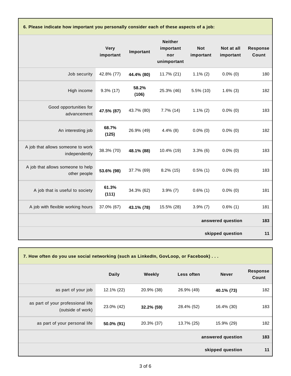**6. Please indicate how important you personally consider each of these aspects of a job:**

|                                                    | <b>Very</b><br>important | Important      | <b>Neither</b><br>important<br>nor<br>unimportant | <b>Not</b><br>important | Not at all<br>important | <b>Response</b><br>Count |
|----------------------------------------------------|--------------------------|----------------|---------------------------------------------------|-------------------------|-------------------------|--------------------------|
| Job security                                       | 42.8% (77)               | 44.4% (80)     | 11.7% (21)                                        | $1.1\%$ (2)             | $0.0\%$ (0)             | 180                      |
| High income                                        | $9.3\%$ (17)             | 58.2%<br>(106) | 25.3% (46)                                        | $5.5\%$ (10)            | $1.6\%$ (3)             | 182                      |
| Good opportunities for<br>advancement              | 47.5% (87)               | 43.7% (80)     | $7.7\%$ (14)                                      | $1.1\%$ (2)             | $0.0\%$ (0)             | 183                      |
| An interesting job                                 | 68.7%<br>(125)           | 26.9% (49)     | $4.4\%$ (8)                                       | $0.0\%$ (0)             | $0.0\%$ (0)             | 182                      |
| A job that allows someone to work<br>independently | 38.3% (70)               | 48.1% (88)     | 10.4% (19)                                        | $3.3\%$ (6)             | $0.0\%$ (0)             | 183                      |
| A job that allows someone to help<br>other people  | 53.6% (98)               | 37.7% (69)     | $8.2\%$ (15)                                      | $0.5\%$ (1)             | $0.0\%$ (0)             | 183                      |
| A job that is useful to society                    | 61.3%<br>(111)           | 34.3% (62)     | $3.9\%$ (7)                                       | $0.6\%$ (1)             | $0.0\%$ (0)             | 181                      |
| A job with flexible working hours                  | 37.0% (67)               | 43.1% (78)     | 15.5% (28)                                        | $3.9\%$ (7)             | $0.6\%$ (1)             | 181                      |
|                                                    |                          |                |                                                   |                         | answered question       | 183                      |
|                                                    |                          |                |                                                   |                         | skipped question        | 11                       |

| 7. How often do you use social networking (such as LinkedIn, GovLoop, or Facebook) |              |            |            |                   |                          |
|------------------------------------------------------------------------------------|--------------|------------|------------|-------------------|--------------------------|
|                                                                                    | <b>Daily</b> | Weekly     | Less often | <b>Never</b>      | <b>Response</b><br>Count |
| as part of your job                                                                | 12.1% (22)   | 20.9% (38) | 26.9% (49) | 40.1% (73)        | 182                      |
| as part of your professional life<br>(outside of work)                             | 23.0% (42)   | 32.2% (59) | 28.4% (52) | 16.4% (30)        | 183                      |
| as part of your personal life                                                      | 50.0% (91)   | 20.3% (37) | 13.7% (25) | 15.9% (29)        | 182                      |
|                                                                                    |              |            |            | answered question | 183                      |
|                                                                                    |              |            |            | skipped question  | 11                       |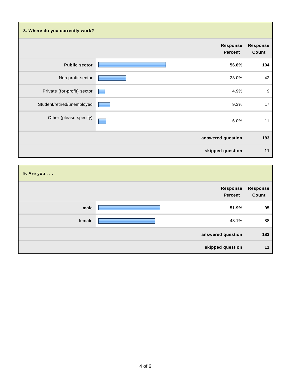| 8. Where do you currently work? |                                   |                          |
|---------------------------------|-----------------------------------|--------------------------|
|                                 | <b>Response</b><br><b>Percent</b> | <b>Response</b><br>Count |
| <b>Public sector</b>            | 56.8%                             | 104                      |
| Non-profit sector               | 23.0%                             | 42                       |
| Private (for-profit) sector     | 4.9%                              | $9\,$                    |
| Student/retired/unemployed      | 9.3%                              | 17                       |
| Other (please specify)          | 6.0%                              | 11                       |
|                                 | answered question                 | 183                      |
|                                 | skipped question                  | 11                       |

| 9. Are you |                                   |                          |
|------------|-----------------------------------|--------------------------|
|            | <b>Response</b><br><b>Percent</b> | <b>Response</b><br>Count |
| male       | 51.9%                             | 95                       |
| female     | 48.1%                             | 88                       |
|            | answered question                 | 183                      |
|            | skipped question                  | 11                       |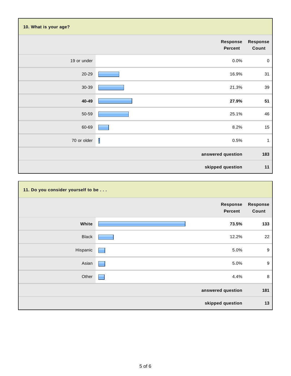| 10. What is your age? |                            |                          |
|-----------------------|----------------------------|--------------------------|
|                       | <b>Response</b><br>Percent | <b>Response</b><br>Count |
| 19 or under           | 0.0%                       | $\mathbf 0$              |
| 20-29                 | 16.9%                      | 31                       |
| 30-39                 | 21.3%                      | 39                       |
| 40-49                 | 27.9%                      | 51                       |
| 50-59                 | 25.1%                      | 46                       |
| 60-69                 | 8.2%                       | 15                       |
| 70 or older           | I<br>0.5%                  | $\mathbf{1}$             |
|                       | answered question          | 183                      |
|                       | skipped question           | 11                       |

| 11. Do you consider yourself to be |                     |                          |
|------------------------------------|---------------------|--------------------------|
|                                    | Response<br>Percent | <b>Response</b><br>Count |
| White                              | 73.5%               | 133                      |
| <b>Black</b>                       | 12.2%               | 22                       |
| Hispanic                           | 5.0%                | 9                        |
| Asian                              | 5.0%                | 9                        |
| Other                              | 4.4%                | 8                        |
|                                    | answered question   | 181                      |
|                                    | skipped question    | 13                       |